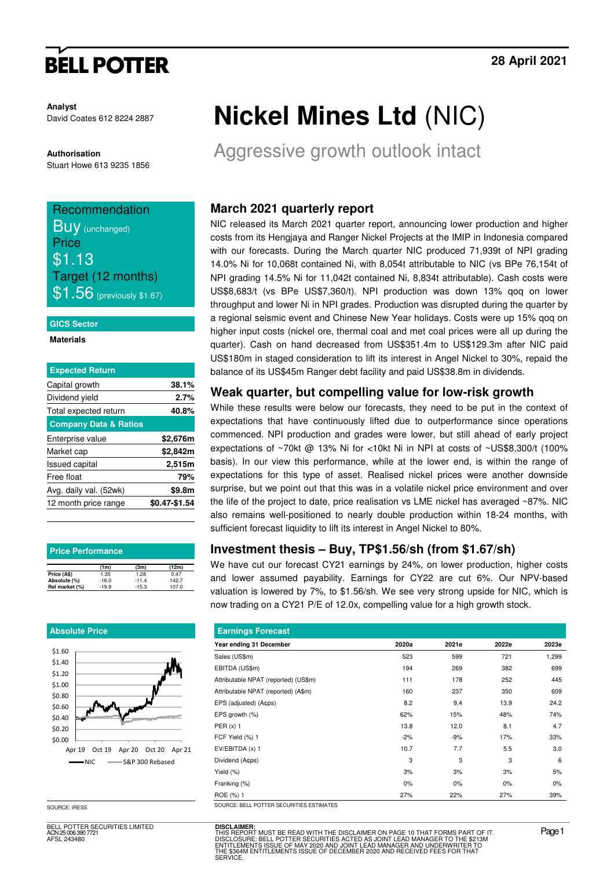# **BELL POTTER**

**Analyst** David Coates 612 8224 2887

#### **Authorisation**

Stuart Howe 613 9235 1856

# Recommendation

**Buy** (unchanged) **Price** \$1.13 Target (12 months)  $\$1.56$  (previously \$1.67)

#### **GICS Sector**

#### **Materials**

| <b>Expected Return</b>           |               |
|----------------------------------|---------------|
| Capital growth                   | 38.1%         |
| Dividend yield                   | 2.7%          |
| Total expected return            | 40.8%         |
| <b>Company Data &amp; Ratios</b> |               |
| Enterprise value                 | \$2,676m      |
| Market cap                       | \$2,842m      |
| <b>Issued capital</b>            | 2,515m        |
| Free float                       | 79%           |
| Avg. daily val. (52wk)           | \$9.8m        |
| 12 month price range             | \$0.47-\$1.54 |

| <b>Price Performance</b> |         |         |       |  |  |  |  |  |
|--------------------------|---------|---------|-------|--|--|--|--|--|
|                          | (1m)    | (3m)    | (12m) |  |  |  |  |  |
| Price (A\$)              | 1.35    | 1.28    | 0.47  |  |  |  |  |  |
| Absolute (%)             | $-16.0$ | $-11.4$ | 142.7 |  |  |  |  |  |
| Rel market (%)           | $-19.9$ | $-15.3$ | 107.0 |  |  |  |  |  |

#### **Absolute Price**



BELL POTTER SECURITIES LIMITED ACN 25 006 390 7721 AFSL 243480

# **Nickel Mines Ltd** (NIC)

Aggressive growth outlook intact

### **March 2021 quarterly report**

NIC released its March 2021 quarter report, announcing lower production and higher costs from its Hengjaya and Ranger Nickel Projects at the IMIP in Indonesia compared with our forecasts. During the March quarter NIC produced 71,939t of NPI grading 14.0% Ni for 10,068t contained Ni, with 8,054t attributable to NIC (vs BPe 76,154t of NPI grading 14.5% Ni for 11,042t contained Ni, 8,834t attributable). Cash costs were US\$8,683/t (vs BPe US\$7,360/t). NPI production was down 13% qoq on lower throughput and lower Ni in NPI grades. Production was disrupted during the quarter by a regional seismic event and Chinese New Year holidays. Costs were up 15% qoq on higher input costs (nickel ore, thermal coal and met coal prices were all up during the quarter). Cash on hand decreased from US\$351.4m to US\$129.3m after NIC paid US\$180m in staged consideration to lift its interest in Angel Nickel to 30%, repaid the balance of its US\$45m Ranger debt facility and paid US\$38.8m in dividends.

#### **Weak quarter, but compelling value for low-risk growth**

While these results were below our forecasts, they need to be put in the context of expectations that have continuously lifted due to outperformance since operations commenced. NPI production and grades were lower, but still ahead of early project expectations of ~70kt @ 13% Ni for <10kt Ni in NPI at costs of ~US\$8,300/t (100% basis). In our view this performance, while at the lower end, is within the range of expectations for this type of asset. Realised nickel prices were another downside surprise, but we point out that this was in a volatile nickel price environment and over the life of the project to date, price realisation vs LME nickel has averaged ~87%. NIC also remains well-positioned to nearly double production within 18-24 months, with sufficient forecast liquidity to lift its interest in Angel Nickel to 80%.

### **Investment thesis – Buy, TP\$1.56/sh (from \$1.67/sh)**

We have cut our forecast CY21 earnings by 24%, on lower production, higher costs and lower assumed payability. Earnings for CY22 are cut 6%. Our NPV-based valuation is lowered by 7%, to \$1.56/sh. We see very strong upside for NIC, which is now trading on a CY21 P/E of 12.0x, compelling value for a high growth stock.

| <b>Earnings Forecast</b>                               |       |       |       |       |
|--------------------------------------------------------|-------|-------|-------|-------|
| Year ending 31 December                                | 2020a | 2021e | 2022e | 2023e |
| Sales (US\$m)                                          | 523   | 599   | 721   | 1,299 |
| EBITDA (US\$m)                                         | 194   | 269   | 382   | 699   |
| Attributable NPAT (reported) (US\$m)                   | 111   | 178   | 252   | 445   |
| Attributable NPAT (reported) (A\$m)                    | 160   | 237   | 350   | 609   |
| EPS (adjusted) (A¢ps)                                  | 8.2   | 9.4   | 13.9  | 24.2  |
| EPS growth (%)                                         | 62%   | 15%   | 48%   | 74%   |
| PER $(x)$ 1                                            | 13.8  | 12.0  | 8.1   | 4.7   |
| FCF Yield (%) 1                                        | $-2%$ | $-9%$ | 17%   | 33%   |
| EV/EBITDA (x) 1                                        | 10.7  | 7.7   | 5.5   | 3.0   |
| Dividend (A¢ps)                                        | 3     | 3     | 3     | 6     |
| Yield (%)                                              | 3%    | 3%    | 3%    | 5%    |
| Franking (%)                                           | $0\%$ | 0%    | 0%    | 0%    |
| ROE (%) 1<br>COURSE BELL BOTTER OF OURITIES FOTH LITER | 27%   | 22%   | 27%   | 39%   |

SOURCE: IRESS SOURCE: BELL POTTER SECURITIES ESTIMATES

**DISCLAIMER:** THIS REPORT MUST BE READ WITH THE DISCLAIMER ON PAGE 10 THAT FORMS PART OF IT.<br>DISCLOSURE: BELL POTTER SECURITIES ACTED AS JOINT LEAD MANAGER TO THE \$213M<br>ENTITLEMENTS ISSUE OF MAY 2020 AND JOINT LEAD MANAGER AND UNDERWRIT THE "ONLY WOOD DE THE SECURITIES ACTED AS JOINT LEAD MANAGER TO THE \$21<br>ITLEMENTS ISSUE OF MAY 2020 AND JOINT LEAD MANAGER AND UNDERWRITER TO<br>\$364M ENTITLEMENTS ISSUE OF DECEMBER 2020 AND RECEIVED FEES FOR THAT **SERVICE**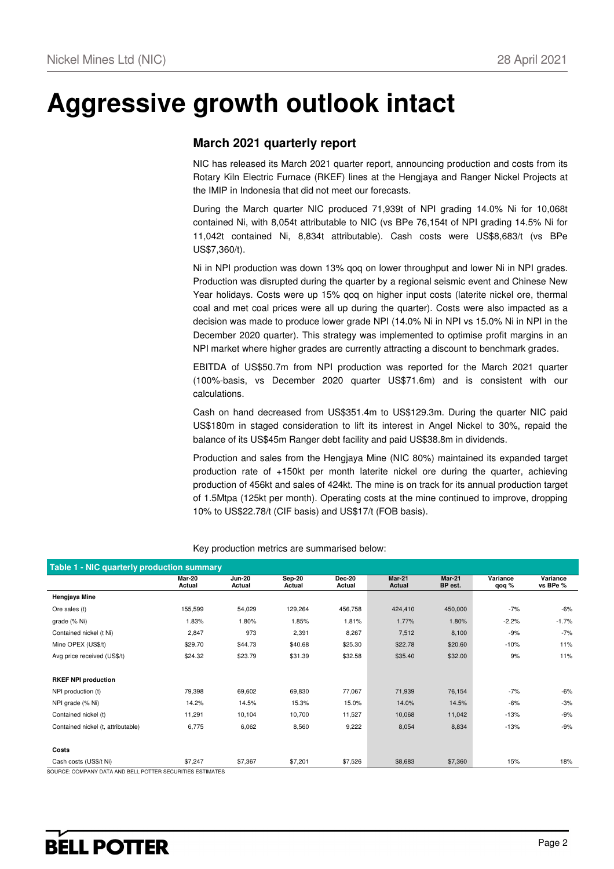# **Aggressive growth outlook intact**

### **March 2021 quarterly report**

NIC has released its March 2021 quarter report, announcing production and costs from its Rotary Kiln Electric Furnace (RKEF) lines at the Hengjaya and Ranger Nickel Projects at the IMIP in Indonesia that did not meet our forecasts.

During the March quarter NIC produced 71,939t of NPI grading 14.0% Ni for 10,068t contained Ni, with 8,054t attributable to NIC (vs BPe 76,154t of NPI grading 14.5% Ni for 11,042t contained Ni, 8,834t attributable). Cash costs were US\$8,683/t (vs BPe US\$7,360/t).

Ni in NPI production was down 13% qoq on lower throughput and lower Ni in NPI grades. Production was disrupted during the quarter by a regional seismic event and Chinese New Year holidays. Costs were up 15% qoq on higher input costs (laterite nickel ore, thermal coal and met coal prices were all up during the quarter). Costs were also impacted as a decision was made to produce lower grade NPI (14.0% Ni in NPI vs 15.0% Ni in NPI in the December 2020 quarter). This strategy was implemented to optimise profit margins in an NPI market where higher grades are currently attracting a discount to benchmark grades.

EBITDA of US\$50.7m from NPI production was reported for the March 2021 quarter (100%-basis, vs December 2020 quarter US\$71.6m) and is consistent with our calculations.

Cash on hand decreased from US\$351.4m to US\$129.3m. During the quarter NIC paid US\$180m in staged consideration to lift its interest in Angel Nickel to 30%, repaid the balance of its US\$45m Ranger debt facility and paid US\$38.8m in dividends.

Production and sales from the Hengjaya Mine (NIC 80%) maintained its expanded target production rate of +150kt per month laterite nickel ore during the quarter, achieving production of 456kt and sales of 424kt. The mine is on track for its annual production target of 1.5Mtpa (125kt per month). Operating costs at the mine continued to improve, dropping 10% to US\$22.78/t (CIF basis) and US\$17/t (FOB basis).

| Table 1 - NIC quarterly production summary                                         |                  |                         |                         |                         |                         |                   |                   |                      |  |  |  |
|------------------------------------------------------------------------------------|------------------|-------------------------|-------------------------|-------------------------|-------------------------|-------------------|-------------------|----------------------|--|--|--|
|                                                                                    | Mar-20<br>Actual | <b>Jun-20</b><br>Actual | <b>Sep-20</b><br>Actual | <b>Dec-20</b><br>Actual | <b>Mar-21</b><br>Actual | Mar-21<br>BP est. | Variance<br>qoq % | Variance<br>vs BPe % |  |  |  |
| Hengjaya Mine                                                                      |                  |                         |                         |                         |                         |                   |                   |                      |  |  |  |
| Ore sales (t)                                                                      | 155,599          | 54,029                  | 129,264                 | 456,758                 | 424,410                 | 450,000           | $-7%$             | $-6%$                |  |  |  |
| grade (% Ni)                                                                       | 1.83%            | 1.80%                   | 1.85%                   | 1.81%                   | 1.77%                   | 1.80%             | $-2.2%$           | $-1.7%$              |  |  |  |
| Contained nickel (t Ni)                                                            | 2,847            | 973                     | 2,391                   | 8,267                   | 7,512                   | 8,100             | $-9%$             | $-7%$                |  |  |  |
| Mine OPEX (US\$/t)                                                                 | \$29.70          | \$44.73                 | \$40.68                 | \$25.30                 | \$22.78                 | \$20.60           | $-10%$            | 11%                  |  |  |  |
| Avg price received (US\$/t)                                                        | \$24.32          | \$23.79                 | \$31.39                 | \$32.58                 | \$35.40                 | \$32.00           | 9%                | 11%                  |  |  |  |
|                                                                                    |                  |                         |                         |                         |                         |                   |                   |                      |  |  |  |
| <b>RKEF NPI production</b>                                                         |                  |                         |                         |                         |                         |                   |                   |                      |  |  |  |
| NPI production (t)                                                                 | 79,398           | 69,602                  | 69,830                  | 77,067                  | 71,939                  | 76,154            | $-7%$             | $-6%$                |  |  |  |
| NPI grade (% Ni)                                                                   | 14.2%            | 14.5%                   | 15.3%                   | 15.0%                   | 14.0%                   | 14.5%             | $-6%$             | $-3%$                |  |  |  |
| Contained nickel (t)                                                               | 11,291           | 10,104                  | 10,700                  | 11,527                  | 10,068                  | 11,042            | $-13%$            | $-9%$                |  |  |  |
| Contained nickel (t, attributable)                                                 | 6,775            | 6,062                   | 8,560                   | 9,222                   | 8,054                   | 8,834             | $-13%$            | $-9%$                |  |  |  |
|                                                                                    |                  |                         |                         |                         |                         |                   |                   |                      |  |  |  |
| Costs                                                                              |                  |                         |                         |                         |                         |                   |                   |                      |  |  |  |
| Cash costs (US\$/t Ni)<br>CHROE, COMPANY DATA AND DELL DOTTED OFOURITIES FOTBAATES | \$7,247          | \$7,367                 | \$7,201                 | \$7,526                 | \$8,683                 | \$7,360           | 15%               | 18%                  |  |  |  |

Key production metrics are summarised below:

BCE: COMPANY DATA AND BELL POTTER SECURITIES ESTIMATES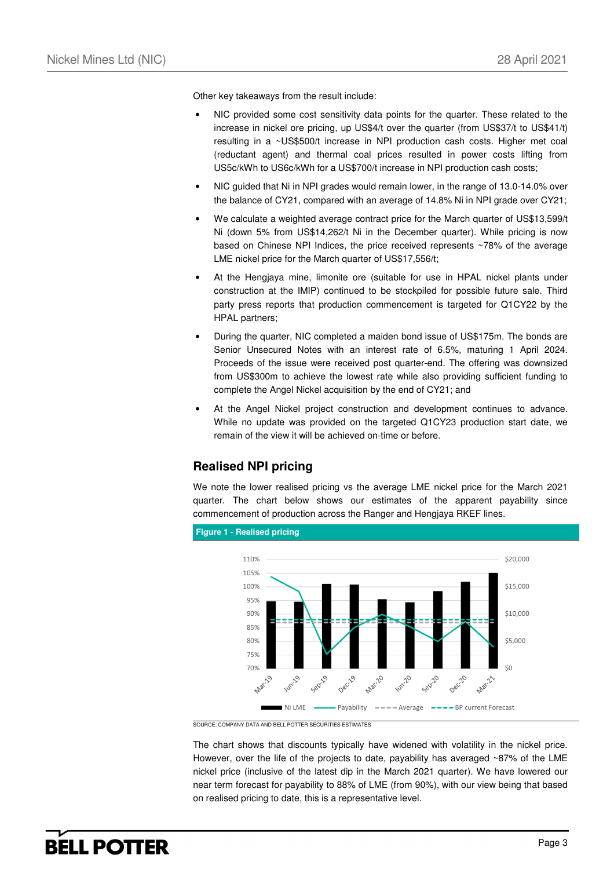Other key takeaways from the result include:

- NIC provided some cost sensitivity data points for the quarter. These related to the increase in nickel ore pricing, up US\$4/t over the quarter (from US\$37/t to US\$41/t) resulting in a ~US\$500/t increase in NPI production cash costs. Higher met coal (reductant agent) and thermal coal prices resulted in power costs lifting from US5c/kWh to US6c/kWh for a US\$700/t increase in NPI production cash costs;
- NIC guided that Ni in NPI grades would remain lower, in the range of 13.0-14.0% over the balance of CY21, compared with an average of 14.8% Ni in NPI grade over CY21;
- We calculate a weighted average contract price for the March quarter of US\$13,599/t Ni (down 5% from US\$14,262/t Ni in the December quarter). While pricing is now based on Chinese NPI Indices, the price received represents ~78% of the average LME nickel price for the March quarter of US\$17,556/t;
- At the Hengjaya mine, limonite ore (suitable for use in HPAL nickel plants under construction at the IMIP) continued to be stockpiled for possible future sale. Third party press reports that production commencement is targeted for Q1CY22 by the HPAL partners;
- During the quarter, NIC completed a maiden bond issue of US\$175m. The bonds are Senior Unsecured Notes with an interest rate of 6.5%, maturing 1 April 2024. Proceeds of the issue were received post quarter-end. The offering was downsized from US\$300m to achieve the lowest rate while also providing sufficient funding to complete the Angel Nickel acquisition by the end of CY21; and
- At the Angel Nickel project construction and development continues to advance. While no update was provided on the targeted Q1CY23 production start date, we remain of the view it will be achieved on-time or before.

### **Realised NPI pricing**

We note the lower realised pricing vs the average LME nickel price for the March 2021 quarter. The chart below shows our estimates of the apparent payability since commencement of production across the Ranger and Hengjaya RKEF lines.



SOURCE: COMPANY DATA AND BELL POTTER SECURITIES ESTIMATES

The chart shows that discounts typically have widened with volatility in the nickel price. However, over the life of the projects to date, payability has averaged ~87% of the LME nickel price (inclusive of the latest dip in the March 2021 quarter). We have lowered our near term forecast for payability to 88% of LME (from 90%), with our view being that based on realised pricing to date, this is a representative level.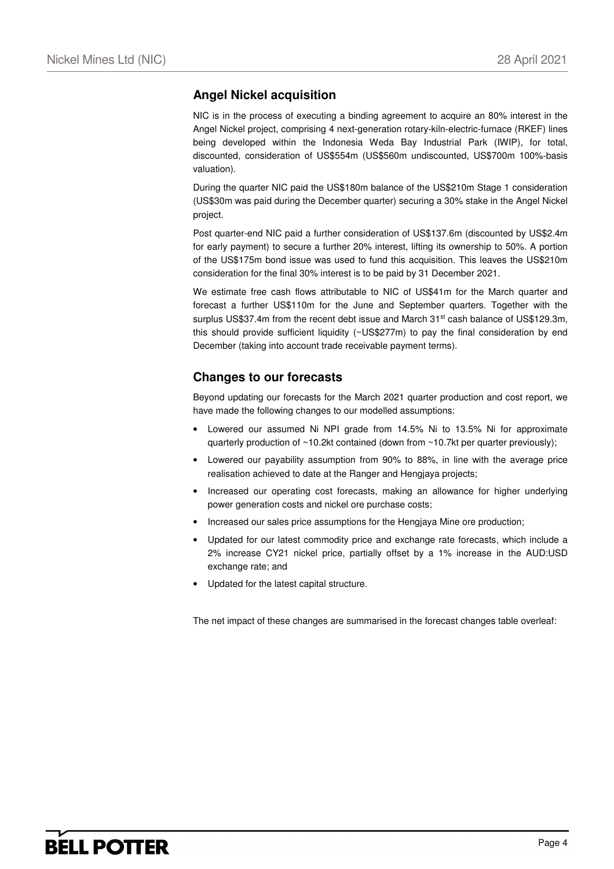### **Angel Nickel acquisition**

NIC is in the process of executing a binding agreement to acquire an 80% interest in the Angel Nickel project, comprising 4 next-generation rotary-kiln-electric-furnace (RKEF) lines being developed within the Indonesia Weda Bay Industrial Park (IWIP), for total, discounted, consideration of US\$554m (US\$560m undiscounted, US\$700m 100%-basis valuation).

During the quarter NIC paid the US\$180m balance of the US\$210m Stage 1 consideration (US\$30m was paid during the December quarter) securing a 30% stake in the Angel Nickel project.

Post quarter-end NIC paid a further consideration of US\$137.6m (discounted by US\$2.4m for early payment) to secure a further 20% interest, lifting its ownership to 50%. A portion of the US\$175m bond issue was used to fund this acquisition. This leaves the US\$210m consideration for the final 30% interest is to be paid by 31 December 2021.

We estimate free cash flows attributable to NIC of US\$41m for the March quarter and forecast a further US\$110m for the June and September quarters. Together with the surplus US\$37.4m from the recent debt issue and March  $31<sup>st</sup>$  cash balance of US\$129.3m, this should provide sufficient liquidity (~US\$277m) to pay the final consideration by end December (taking into account trade receivable payment terms).

#### **Changes to our forecasts**

Beyond updating our forecasts for the March 2021 quarter production and cost report, we have made the following changes to our modelled assumptions:

- Lowered our assumed Ni NPI grade from 14.5% Ni to 13.5% Ni for approximate quarterly production of ~10.2kt contained (down from ~10.7kt per quarter previously);
- Lowered our payability assumption from 90% to 88%, in line with the average price realisation achieved to date at the Ranger and Hengjaya projects;
- Increased our operating cost forecasts, making an allowance for higher underlying power generation costs and nickel ore purchase costs;
- Increased our sales price assumptions for the Hengjaya Mine ore production;
- Updated for our latest commodity price and exchange rate forecasts, which include a 2% increase CY21 nickel price, partially offset by a 1% increase in the AUD:USD exchange rate; and
- Updated for the latest capital structure.

The net impact of these changes are summarised in the forecast changes table overleaf: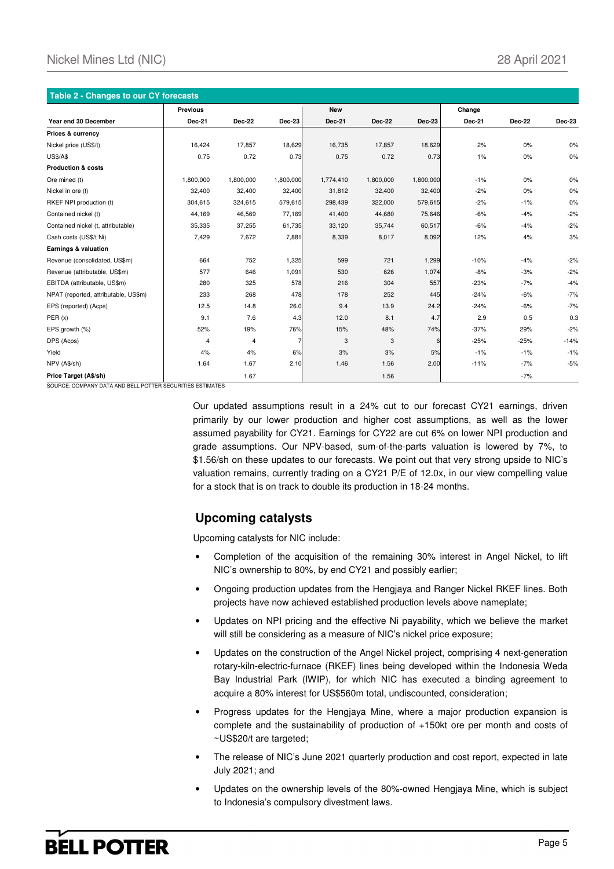| <b>Table 2 - Changes to our CY forecasts</b> |                 |                         |           |               |               |           |               |        |        |
|----------------------------------------------|-----------------|-------------------------|-----------|---------------|---------------|-----------|---------------|--------|--------|
|                                              | <b>Previous</b> |                         |           | <b>New</b>    |               |           | Change        |        |        |
| Year end 30 December                         | <b>Dec-21</b>   | <b>Dec-22</b>           | Dec-23    | <b>Dec-21</b> | <b>Dec-22</b> | Dec-23    | <b>Dec-21</b> | Dec-22 | Dec-23 |
| Prices & currency                            |                 |                         |           |               |               |           |               |        |        |
| Nickel price (US\$/t)                        | 16,424          | 17,857                  | 18,629    | 16,735        | 17,857        | 18,629    | 2%            | 0%     | 0%     |
| <b>US\$/A\$</b>                              | 0.75            | 0.72                    | 0.73      | 0.75          | 0.72          | 0.73      | 1%            | 0%     | $0\%$  |
| <b>Production &amp; costs</b>                |                 |                         |           |               |               |           |               |        |        |
| Ore mined (t)                                | 1,800,000       | 1,800,000               | 1,800,000 | 1,774,410     | 1,800,000     | 1,800,000 | $-1%$         | 0%     | 0%     |
| Nickel in ore (t)                            | 32,400          | 32,400                  | 32,400    | 31,812        | 32,400        | 32,400    | $-2%$         | 0%     | 0%     |
| RKEF NPI production (t)                      | 304,615         | 324,615                 | 579,615   | 298,439       | 322,000       | 579,615   | $-2%$         | $-1%$  | $0\%$  |
| Contained nickel (t)                         | 44,169          | 46,569                  | 77,169    | 41,400        | 44,680        | 75,646    | $-6%$         | $-4%$  | $-2%$  |
| Contained nickel (t, attributable)           | 35,335          | 37,255                  | 61,735    | 33,120        | 35,744        | 60,517    | $-6%$         | $-4%$  | $-2%$  |
| Cash costs (US\$/t Ni)                       | 7,429           | 7,672                   | 7,881     | 8,339         | 8,017         | 8,092     | 12%           | 4%     | 3%     |
| Earnings & valuation                         |                 |                         |           |               |               |           |               |        |        |
| Revenue (consolidated, US\$m)                | 664             | 752                     | 1,325     | 599           | 721           | 1,299     | $-10%$        | $-4%$  | $-2%$  |
| Revenue (attributable, US\$m)                | 577             | 646                     | 1,091     | 530           | 626           | 1,074     | $-8%$         | $-3%$  | $-2%$  |
| EBITDA (attributable, US\$m)                 | 280             | 325                     | 578       | 216           | 304           | 557       | $-23%$        | $-7%$  | $-4%$  |
| NPAT (reported, attributable, US\$m)         | 233             | 268                     | 478       | 178           | 252           | 445       | $-24%$        | $-6%$  | $-7%$  |
| EPS (reported) (Acps)                        | 12.5            | 14.8                    | 26.0      | 9.4           | 13.9          | 24.2      | $-24%$        | $-6%$  | $-7%$  |
| PER(x)                                       | 9.1             | 7.6                     | 4.3       | 12.0          | 8.1           | 4.7       | 2.9           | 0.5    | 0.3    |
| EPS growth (%)                               | 52%             | 19%                     | 76%       | 15%           | 48%           | 74%       | $-37%$        | 29%    | $-2%$  |
| DPS (Acps)                                   | $\overline{4}$  | $\overline{\mathbf{4}}$ |           | 3             | 3             | 6         | $-25%$        | $-25%$ | $-14%$ |
| Yield                                        | 4%              | 4%                      | 6%        | 3%            | 3%            | 5%        | $-1%$         | $-1%$  | $-1%$  |
| NPV (A\$/sh)                                 | 1.64            | 1.67                    | 2.10      | 1.46          | 1.56          | 2.00      | $-11%$        | $-7%$  | $-5%$  |
| Price Target (A\$/sh)                        |                 | 1.67                    |           |               | 1.56          |           |               | $-7%$  |        |

SOURCE: COMPANY DATA AND BELL POTTER SECURIT

Our updated assumptions result in a 24% cut to our forecast CY21 earnings, driven primarily by our lower production and higher cost assumptions, as well as the lower assumed payability for CY21. Earnings for CY22 are cut 6% on lower NPI production and grade assumptions. Our NPV-based, sum-of-the-parts valuation is lowered by 7%, to \$1.56/sh on these updates to our forecasts. We point out that very strong upside to NIC's valuation remains, currently trading on a CY21 P/E of 12.0x, in our view compelling value for a stock that is on track to double its production in 18-24 months.

#### **Upcoming catalysts**

Upcoming catalysts for NIC include:

- Completion of the acquisition of the remaining 30% interest in Angel Nickel, to lift NIC's ownership to 80%, by end CY21 and possibly earlier;
- Ongoing production updates from the Hengjaya and Ranger Nickel RKEF lines. Both projects have now achieved established production levels above nameplate;
- Updates on NPI pricing and the effective Ni payability, which we believe the market will still be considering as a measure of NIC's nickel price exposure;
- Updates on the construction of the Angel Nickel project, comprising 4 next-generation rotary-kiln-electric-furnace (RKEF) lines being developed within the Indonesia Weda Bay Industrial Park (IWIP), for which NIC has executed a binding agreement to acquire a 80% interest for US\$560m total, undiscounted, consideration;
- Progress updates for the Hengjaya Mine, where a major production expansion is complete and the sustainability of production of +150kt ore per month and costs of ~US\$20/t are targeted;
- The release of NIC's June 2021 quarterly production and cost report, expected in late July 2021; and
- Updates on the ownership levels of the 80%-owned Hengjaya Mine, which is subject to Indonesia's compulsory divestment laws.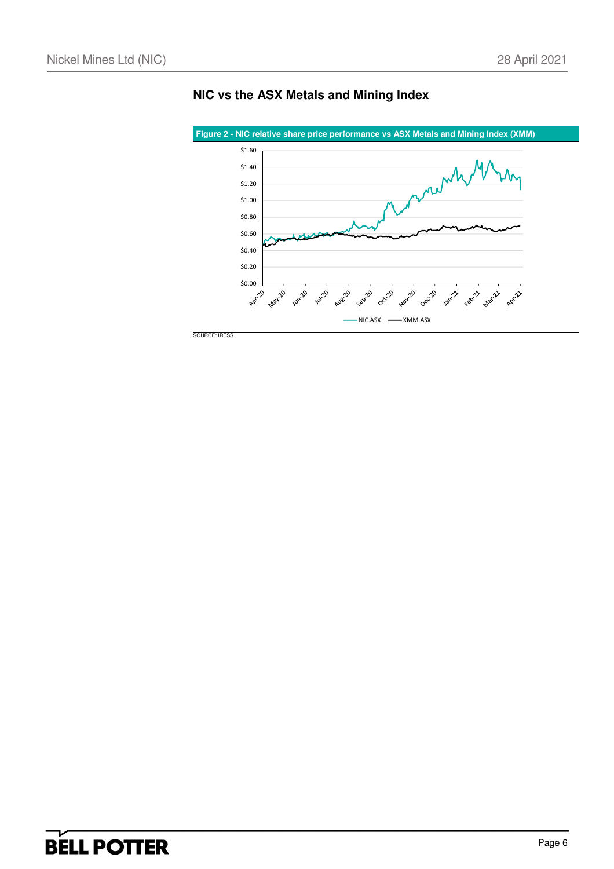

### **NIC vs the ASX Metals and Mining Index**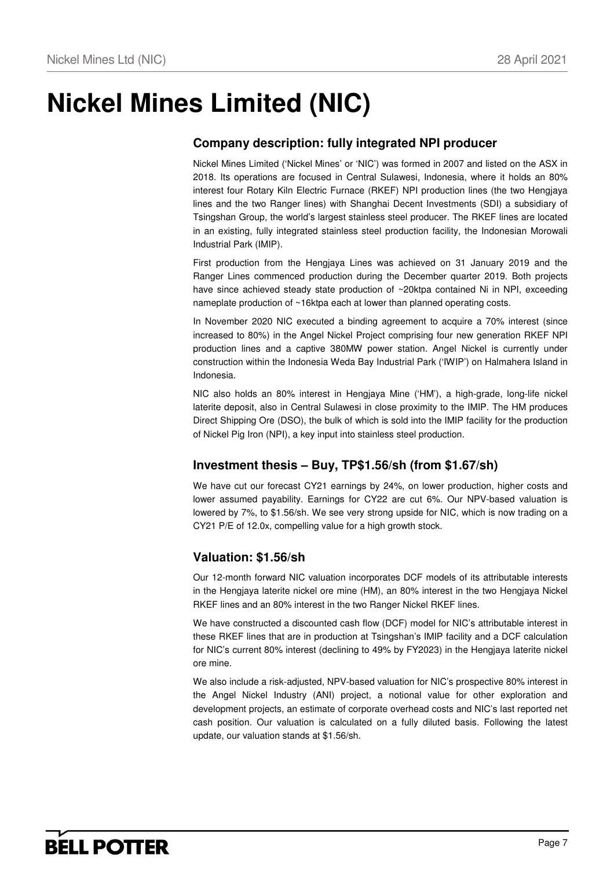# **Nickel Mines Limited (NIC)**

### **Company description: fully integrated NPI producer**

Nickel Mines Limited ('Nickel Mines' or 'NIC') was formed in 2007 and listed on the ASX in 2018. Its operations are focused in Central Sulawesi, Indonesia, where it holds an 80% interest four Rotary Kiln Electric Furnace (RKEF) NPI production lines (the two Hengjaya lines and the two Ranger lines) with Shanghai Decent Investments (SDI) a subsidiary of Tsingshan Group, the world's largest stainless steel producer. The RKEF lines are located in an existing, fully integrated stainless steel production facility, the Indonesian Morowali Industrial Park (IMIP).

First production from the Hengjaya Lines was achieved on 31 January 2019 and the Ranger Lines commenced production during the December quarter 2019. Both projects have since achieved steady state production of ~20ktpa contained Ni in NPI, exceeding nameplate production of ~16ktpa each at lower than planned operating costs.

In November 2020 NIC executed a binding agreement to acquire a 70% interest (since increased to 80%) in the Angel Nickel Project comprising four new generation RKEF NPI production lines and a captive 380MW power station. Angel Nickel is currently under construction within the Indonesia Weda Bay Industrial Park ('IWIP') on Halmahera Island in Indonesia.

NIC also holds an 80% interest in Hengjaya Mine ('HM'), a high-grade, long-life nickel laterite deposit, also in Central Sulawesi in close proximity to the IMIP. The HM produces Direct Shipping Ore (DSO), the bulk of which is sold into the IMIP facility for the production of Nickel Pig Iron (NPI), a key input into stainless steel production.

### **Investment thesis – Buy, TP\$1.56/sh (from \$1.67/sh)**

We have cut our forecast CY21 earnings by 24%, on lower production, higher costs and lower assumed payability. Earnings for CY22 are cut 6%. Our NPV-based valuation is lowered by 7%, to \$1.56/sh. We see very strong upside for NIC, which is now trading on a CY21 P/E of 12.0x, compelling value for a high growth stock.

### **Valuation: \$1.56/sh**

Our 12-month forward NIC valuation incorporates DCF models of its attributable interests in the Hengjaya laterite nickel ore mine (HM), an 80% interest in the two Hengjaya Nickel RKEF lines and an 80% interest in the two Ranger Nickel RKEF lines.

We have constructed a discounted cash flow (DCF) model for NIC's attributable interest in these RKEF lines that are in production at Tsingshan's IMIP facility and a DCF calculation for NIC's current 80% interest (declining to 49% by FY2023) in the Hengjaya laterite nickel ore mine.

We also include a risk-adjusted, NPV-based valuation for NIC's prospective 80% interest in the Angel Nickel Industry (ANI) project, a notional value for other exploration and development projects, an estimate of corporate overhead costs and NIC's last reported net cash position. Our valuation is calculated on a fully diluted basis. Following the latest update, our valuation stands at \$1.56/sh.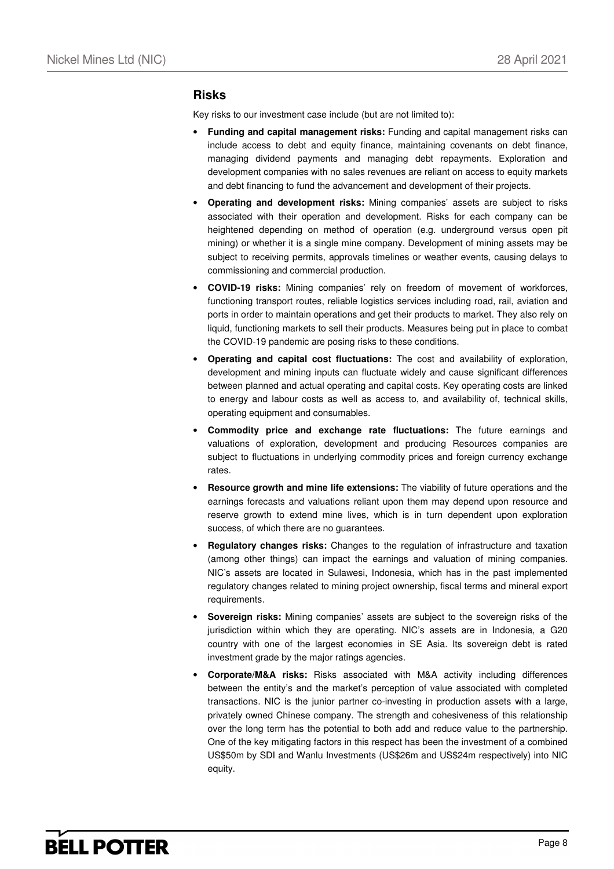#### **Risks**

Key risks to our investment case include (but are not limited to):

- **Funding and capital management risks:** Funding and capital management risks can include access to debt and equity finance, maintaining covenants on debt finance, managing dividend payments and managing debt repayments. Exploration and development companies with no sales revenues are reliant on access to equity markets and debt financing to fund the advancement and development of their projects.
- **Operating and development risks:** Mining companies' assets are subject to risks associated with their operation and development. Risks for each company can be heightened depending on method of operation (e.g. underground versus open pit mining) or whether it is a single mine company. Development of mining assets may be subject to receiving permits, approvals timelines or weather events, causing delays to commissioning and commercial production.
- **COVID-19 risks:** Mining companies' rely on freedom of movement of workforces, functioning transport routes, reliable logistics services including road, rail, aviation and ports in order to maintain operations and get their products to market. They also rely on liquid, functioning markets to sell their products. Measures being put in place to combat the COVID-19 pandemic are posing risks to these conditions.
- **Operating and capital cost fluctuations:** The cost and availability of exploration, development and mining inputs can fluctuate widely and cause significant differences between planned and actual operating and capital costs. Key operating costs are linked to energy and labour costs as well as access to, and availability of, technical skills, operating equipment and consumables.
- **Commodity price and exchange rate fluctuations:** The future earnings and valuations of exploration, development and producing Resources companies are subject to fluctuations in underlying commodity prices and foreign currency exchange rates.
- **Resource growth and mine life extensions:** The viability of future operations and the earnings forecasts and valuations reliant upon them may depend upon resource and reserve growth to extend mine lives, which is in turn dependent upon exploration success, of which there are no guarantees.
- **Regulatory changes risks:** Changes to the regulation of infrastructure and taxation (among other things) can impact the earnings and valuation of mining companies. NIC's assets are located in Sulawesi, Indonesia, which has in the past implemented regulatory changes related to mining project ownership, fiscal terms and mineral export requirements.
- **Sovereign risks:** Mining companies' assets are subject to the sovereign risks of the jurisdiction within which they are operating. NIC's assets are in Indonesia, a G20 country with one of the largest economies in SE Asia. Its sovereign debt is rated investment grade by the major ratings agencies.
- **Corporate/M&A risks:** Risks associated with M&A activity including differences between the entity's and the market's perception of value associated with completed transactions. NIC is the junior partner co-investing in production assets with a large, privately owned Chinese company. The strength and cohesiveness of this relationship over the long term has the potential to both add and reduce value to the partnership. One of the key mitigating factors in this respect has been the investment of a combined US\$50m by SDI and Wanlu Investments (US\$26m and US\$24m respectively) into NIC equity.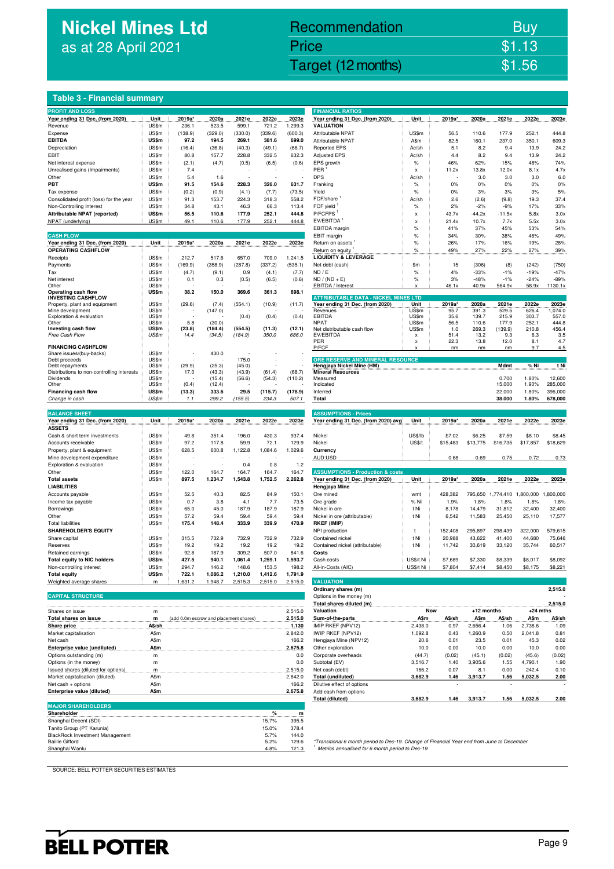## **Nickel Mines Ltd** as at 28 April 2021

### Nickel Mines Ltd (Nickel Mines Ltd (Nickel Mines Ltd (Nickel Mines Ltd (Nickel Mines Ltd Computer) \$1.56 Recommendation Buy Price \$1.13

#### **Table 3 - Financial summary**

| <b>PROFIT AND LOSS</b>                                                 |                |                                        |                  |         |              |                    | <b>FINANCIAL RATIOS</b>                                                                                                                                    |                           |                |                |                   |                  |                   |
|------------------------------------------------------------------------|----------------|----------------------------------------|------------------|---------|--------------|--------------------|------------------------------------------------------------------------------------------------------------------------------------------------------------|---------------------------|----------------|----------------|-------------------|------------------|-------------------|
| Year ending 31 Dec. (from 2020)                                        | Unit           | 2019a*                                 | 2020a            | 2021e   | 2022e        | 2023e              | Year ending 31 Dec. (from 2020)                                                                                                                            | Unit                      | 2019a*         | 2020a          | 2021e             | 2022e            | 2023e             |
| Revenue                                                                | US\$m          | 236.1                                  | 523.5            | 599.1   | 721.2        | 1,299.3            | <b>VALUATION</b>                                                                                                                                           |                           |                |                |                   |                  |                   |
| Expense                                                                | US\$m          | (138.9)                                | (329.0)          | (330.0) | (339.6)      | (600.3)            | Attributable NPAT                                                                                                                                          | US\$m                     | 56.5           | 110.6          | 177.9             | 252.1            | 444.8             |
| <b>EBITDA</b>                                                          | US\$m          | 97.2                                   | 194.5            | 269.1   | 381.6        | 699.0              | <b>Attributable NPAT</b>                                                                                                                                   | A\$m                      | 82.5           | 160.1          | 237.0             | 350.1            | 609.3             |
| Depreciation                                                           | US\$m          | (16.4)                                 | (36.8)           | (40.3)  | (49.1)       | (66.7)             | <b>Reported EPS</b>                                                                                                                                        | Ac/sh                     | 5.1            | 8.2            | 9.4               | 13.9             | 24.2              |
| EBIT                                                                   | US\$m          | 80.8                                   | 157.7            | 228.8   | 332.5        | 632.3              | <b>Adjusted EPS</b>                                                                                                                                        | Ac/sh                     | 4.4            | 8.2            | 9.4               | 13.9             | 24.2              |
| Net interest expense                                                   | US\$m          | (2.1)                                  | (4.7)            | (0.5)   | (6.5)        | (0.6)              | EPS growth                                                                                                                                                 | $\%$                      | 46%            | 62%            | 15%               | 48%              | 74%               |
| Unrealised gains (Impairments)                                         | US\$m          | 7.4                                    |                  |         |              |                    | PER                                                                                                                                                        | $\boldsymbol{\mathsf{x}}$ | 11.2x          | 13.8x          | 12.0x             | 8.1x             | 4.7x              |
| Other                                                                  | US\$m          | 5.4                                    | 1.6              |         |              |                    | <b>DPS</b>                                                                                                                                                 | Ac/sh                     |                | 3.0            | 3.0               | 3.0              | 6.0               |
| PBT                                                                    | US\$m          | 91.5                                   | 154.6            | 228.3   | 326.0        | 631.7              | Franking                                                                                                                                                   | $\%$                      | 0%             | 0%             | 0%                | 0%               | 0%                |
| Tax expense                                                            | US\$m          | (0.2)                                  | (0.9)            | (4.1)   | (7.7)        | (73.5)             | Yield                                                                                                                                                      | $\%$                      | 0%             | 3%             | 3%                | 3%               | 5%                |
| Consolidated profit (loss) for the year                                | US\$m          | 91.3                                   | 153.7            | 224.3   | 318.3        | 558.2              | FCF/share                                                                                                                                                  | Ac/sh                     | 2.6            | (2.6)          | (9.8)             | 19.3             | 37.4              |
| Non-Controlling Interest                                               | US\$m          | 34.8                                   | 43.1             | 46.3    | 66.3         | 113.4              | FCF yield <sup>1</sup>                                                                                                                                     | $\%$                      | 2%             | $-2%$          | $-9%$             | 17%              | 33%               |
| <b>Attributable NPAT (reported)</b>                                    | US\$m          | 56.5                                   | 110.6            | 177.9   | 252.1        | 444.8              | P/FCFPS <sup>1</sup>                                                                                                                                       | X                         | 43.7x          | $-44.2x$       | $-11.5x$          | 5.8x             | 3.0x              |
| NPAT (underlying)                                                      | US\$m          | 49.1                                   | 110.6            | 177.9   | 252.1        | 444.8              | EV/EBITDA <sup>1</sup>                                                                                                                                     | X                         | 21.4x          | 10.7x          | 7.7x              | 5.5x             | 3.0x              |
|                                                                        |                |                                        |                  |         |              |                    | EBITDA margin                                                                                                                                              | %                         | 41%            | 37%            | 45%               | 53%              | 54%               |
| <b>CASH FLOW</b>                                                       |                |                                        |                  |         | 2022e        |                    | EBIT margin                                                                                                                                                | $\%$<br>$\%$              | 34%<br>26%     | 30%<br>17%     | 38%<br>16%        | 46%<br>19%       | 49%<br>28%        |
| Year ending 31 Dec. (from 2020)<br><b>OPERATING CASHFLOW</b>           | Unit           | 2019a*                                 | 2020a            | 2021e   |              | 2023e              | Return on assets                                                                                                                                           |                           | 49%            |                |                   |                  |                   |
| Receipts                                                               | US\$m          | 212.7                                  | 517.6            | 657.0   | 709.0        | 1,241.5            | Return on equity<br><b>LIQUIDITY &amp; LEVERAGE</b>                                                                                                        | $\%$                      |                | 27%            | 22%               | 27%              | 39%               |
| Payments                                                               | US\$m          | (169.9)                                | (358.9)          | (287.8) | (337.2)      | (535.1)            | Net debt (cash)                                                                                                                                            | \$m                       | 15             | (306)          | (8)               | (242)            | (750)             |
| Tax                                                                    | US\$m          | (4.7)                                  | (9.1)            | 0.9     | (4.1)        | (7.7)              | ND / E                                                                                                                                                     | $\%$                      | 4%             | $-33%$         | $-1%$             | $-19%$           | $-47%$            |
| Net interest                                                           | US\$m          | 0.1                                    | 0.3              | (0.5)   | (6.5)        | (0.6)              | $ND / (ND + E)$                                                                                                                                            | $\%$                      | 3%             | $-48%$         | $-1%$             | $-24%$           | $-89%$            |
| Other                                                                  | US\$m          |                                        |                  |         |              |                    | EBITDA / Interest                                                                                                                                          | x                         | 46.1x          | 40.9x          | 564.9x            | 58.9x            | 1130.1x           |
| Operating cash flow                                                    | US\$m          | 38.2                                   | 150.0            | 369.6   | 361.3        | 698.1              |                                                                                                                                                            |                           |                |                |                   |                  |                   |
| <b>INVESTING CASHFLOW</b>                                              |                |                                        |                  |         |              |                    | <b>ATTRIBUTABLE DATA - NICKEL MINES LTD</b>                                                                                                                |                           |                |                |                   |                  |                   |
| Property, plant and equipment<br>Mine development                      | US\$m<br>US\$m | (29.6)                                 | (7.4)<br>(147.0) | (554.1) | (10.9)       | (11.7)             | Year ending 31 Dec. (from 2020)<br>Revenues                                                                                                                | Unit<br>US\$m             | 2019a*<br>95.7 | 2020a<br>391.3 | 2021e<br>529.5    | 2022e<br>626.4   | 2023e<br>1,074.0  |
| Exploration & evaluation                                               | US\$m          |                                        |                  | (0.4)   | (0.4)        | (0.4)              | <b>EBITDA</b>                                                                                                                                              | US\$m                     | 35.6           | 139.7          | 215.9             | 303.7            | 557.0             |
| Other                                                                  | US\$m          | 5.8                                    | (30.0)           |         |              |                    | <b>NPAT</b>                                                                                                                                                | US\$m                     | 56.5           | 110.6          | 177.9             | 252.1            | 444.8             |
| Investing cash flow                                                    | US\$m          | (23.8)                                 | (184.4)          | (554.5) | (11.3)       | (12.1)             | Net distributable cash flow                                                                                                                                | US\$m                     | 1.0            | 269.3          | (139.9)           | 210.8            | 456.4             |
| Free Cash Flow                                                         | US\$m          | 14.4                                   | (34.5)           | (184.9) | 350.0        | 686.0              | EV/EBITDA                                                                                                                                                  | x                         | 51.4           | 13.2           | 9.3               | 6.3              | 3.5               |
| <b>FINANCING CASHFLOW</b>                                              |                |                                        |                  |         |              |                    | PER<br>P/FCF                                                                                                                                               | X                         | 22.3<br>nm     | 13.8<br>nm     | 12.0<br>nm        | 8.1<br>9.7       | 4.7<br>4.5        |
| Share issues/(buy-backs)                                               | US\$m          |                                        | 430.0            |         |              |                    |                                                                                                                                                            |                           |                |                |                   |                  |                   |
| Debt proceeds                                                          | US\$m          |                                        |                  | 175.0   |              |                    | ORE RESERVE AND MINERAL RESOURCE                                                                                                                           |                           |                |                |                   |                  |                   |
| Debt repayments                                                        | US\$m          | (29.9)                                 | (25.3)           | (45.0)  |              |                    | Hengjaya Nickel Mine (HM)                                                                                                                                  |                           |                |                | Mdmt              | % Ni             | t Ni              |
| Distributions to non-controlling interests                             | US\$m          | 17.0                                   | (43.3)           | (43.9)  | (61.4)       | (68.7)             | <b>Mineral Resources</b>                                                                                                                                   |                           |                |                |                   |                  |                   |
| Dividends<br>Other                                                     | US\$m<br>US\$m | (0.4)                                  | (15.4)<br>(12.4) | (56.6)  | (54.3)       | (110.2)            | Measured<br>Indicated                                                                                                                                      |                           |                |                | 0.700<br>15.000   | 1.80%<br>1.90%   | 12,600<br>285,000 |
| Financing cash flow                                                    | US\$m          | (13.3)                                 | 333.6            | 29.5    | (115.7)      | (178.9)            | Inferred                                                                                                                                                   |                           |                |                | 22.000            | 1.80%            | 396,000           |
| Change in cash                                                         | US\$m          | 1.1                                    | 299.2            | (155.5) | 234.3        | 507.1              | Total                                                                                                                                                      |                           |                |                | 38.000            | 1.80%            | 678,000           |
|                                                                        |                |                                        |                  |         |              |                    |                                                                                                                                                            |                           |                |                |                   |                  |                   |
| <b>BALANCE SHEET</b>                                                   |                |                                        |                  |         |              |                    | <b>ASSUMPTIONS - Prices</b>                                                                                                                                |                           |                |                |                   |                  |                   |
| Year ending 31 Dec. (from 2020)                                        | Unit           | 2019a*                                 | 2020a            | 2021e   | 2022e        | 2023e              | Year ending 31 Dec. (from 2020) avg                                                                                                                        | Unit                      | 2019a*         | 2020a          | 2021e             | 2022e            | 2023e             |
| <b>ASSETS</b>                                                          |                |                                        |                  |         |              |                    |                                                                                                                                                            |                           |                |                |                   |                  |                   |
| Cash & short term investments                                          | US\$m          | 49.8                                   | 351.4            | 196.0   | 430.3        | 937.4              | Nickel                                                                                                                                                     | US\$/lb                   | \$7.02         | \$6.25         | \$7.59            | \$8.10           | \$8.45            |
| Accounts receivable                                                    | US\$m          | 97.2                                   | 117.8            | 59.9    | 72.1         | 129.9              | Nickel                                                                                                                                                     | <b>US\$/t</b>             | \$15,483       | \$13,775       | \$16,735          | \$17,857         | \$18,629          |
| Property, plant & equipment                                            | US\$m          | 628.5                                  | 600.8            | 1,122.8 | 1,084.6      | 1,029.6            | Currency                                                                                                                                                   |                           |                |                |                   |                  |                   |
| Mine development expenditure                                           | US\$m          |                                        |                  |         |              |                    | AUD:USD                                                                                                                                                    |                           | 0.68           | 0.69           | 0.75              | 0.72             | 0.73              |
| Exploration & evaluation                                               | US\$m          | J.                                     |                  | 0.4     | 0.8          | 1.2                |                                                                                                                                                            |                           |                |                |                   |                  |                   |
| Other                                                                  | US\$m          | 122.0                                  | 164.7            | 164.7   | 164.7        | 164.7              | <b>ASSUMPTIONS - Production &amp; costs</b>                                                                                                                |                           |                |                |                   |                  |                   |
| <b>Total assets</b>                                                    | US\$m          | 897.5                                  | 1,234.7          | 1,543.8 | 1,752.5      | 2,262.8            | Year ending 31 Dec. (from 2020)                                                                                                                            | Unit                      | 2019a*         | 2020a          | 2021e             | 2022e            | 2023e             |
| <b>LIABILITIES</b>                                                     |                |                                        |                  |         |              |                    | Hengjaya Mine                                                                                                                                              |                           |                |                |                   |                  |                   |
| Accounts payable                                                       | US\$m          | 52.5                                   | 40.3             | 82.5    | 84.9         | 150.1              | Ore mined                                                                                                                                                  | wmt                       | 428,382        |                | 795,650 1,774,410 | 1,800,000        | 1,800,000         |
| Income tax payable                                                     | US\$m          | 0.7                                    | 3.8              | 4.1     | 7.7          | 73.5               | Ore grade                                                                                                                                                  | % Ni                      | 1.9%           | 1.8%           | 1.8%              | 1.8%             | 1.8%              |
| Borrowings                                                             | US\$m          | 65.0                                   | 45.0             | 187.9   | 187.9        | 187.9              | Nickel in ore                                                                                                                                              | t Ni                      | 8,178          | 14,479         | 31,812            | 32,400           | 32,400            |
| Other                                                                  | US\$m          | 57.2                                   | 59.4             | 59.4    | 59.4         | 59.4               | Nickel in ore (attributable)                                                                                                                               | t Ni                      | 6,542          | 11,583         | 25,450            | 25,110           | 17,577            |
| Total liabilities                                                      | US\$m          | 175.4                                  | 148.4            | 333.9   | 339.9        | 470.9              | <b>RKEF (IMIP)</b>                                                                                                                                         |                           |                |                |                   |                  |                   |
| <b>SHAREHOLDER'S EQUITY</b>                                            |                |                                        |                  |         |              |                    | NPI production                                                                                                                                             | t                         | 152,408        | 295,897        | 298,439           | 322,000          | 579,615           |
| Share capital                                                          | US\$m          | 315.5                                  | 732.9            | 732.9   | 732.9        | 732.9              | Contained nickel                                                                                                                                           | t Ni                      | 20,988         | 43,622         | 41,400            | 44,680           | 75,646            |
| Reserves                                                               | US\$m          | 19.2                                   | 19.2             | 19.2    | 19.2         | 19.2               | Contained nickel (attributable)                                                                                                                            | t Ni                      | 11,742         | 30,619         | 33,120            | 35,744           | 60,517            |
| Retained earnings                                                      | US\$m          | 92.8                                   | 187.9            | 309.2   | 507.0        | 841.6              | Costs                                                                                                                                                      |                           |                |                |                   |                  |                   |
| <b>Total equity to NIC holders</b>                                     | US\$m          | 427.5                                  | 940.1            | 1,061.4 | 1,259.1      | 1,593.7            | Cash costs                                                                                                                                                 | US\$/t Ni                 | \$7,689        | \$7,330        | \$8,339           | \$8,017          | \$8,092           |
| Non-controlling interest                                               | US\$m          | 294.7                                  | 146.2            | 148.6   | 153.5        | 198.2              | All-in-Costs (AIC)                                                                                                                                         | US\$/t Ni                 | \$7,804        | \$7,414        | \$8,450           | \$8,175          | \$8,221           |
| <b>Total equity</b>                                                    | US\$m          | 722.1                                  | 1,086.2          | 1,210.0 | 1,412.6      | 1,791.9            |                                                                                                                                                            |                           |                |                |                   |                  |                   |
| Weighted average shares                                                | m              | 1,631.2                                | 1,948.7          | 2,515.3 | 2,515.0      | 2,515.0            | <b>VALUATION</b>                                                                                                                                           |                           |                |                |                   |                  |                   |
| <b>CAPITAL STRUCTURE</b>                                               |                |                                        |                  |         |              |                    | Ordinary shares (m)<br>Options in the money (m)                                                                                                            |                           |                |                |                   |                  | 2,515.0           |
|                                                                        |                |                                        |                  |         |              |                    | Total shares diluted (m)                                                                                                                                   |                           |                |                |                   |                  | 2,515.0           |
|                                                                        |                |                                        |                  |         |              |                    |                                                                                                                                                            |                           |                |                |                   | $+24$ mths       |                   |
|                                                                        |                |                                        |                  |         |              |                    |                                                                                                                                                            |                           |                |                |                   |                  | A\$/sh            |
| Shares on issue                                                        | m              |                                        |                  |         |              | 2,515.0            | Valuation                                                                                                                                                  | Now                       |                | +12 months     |                   |                  |                   |
| Total shares on issue                                                  | m              | (add 0.0m escrow and placement shares) |                  |         |              | 2,515.0            | Sum-of-the-parts                                                                                                                                           | A\$m                      | A\$/sh         | A\$m           | A\$/sh            | A\$m             |                   |
| Share price                                                            | A\$/sh         |                                        |                  |         |              | 1.130              | IMIP RKEF (NPV12)                                                                                                                                          | 2,438.0                   | 0.97           | 2,656.4        | 1.06              | 2,738.6          | 1.09              |
| Market capitalisation                                                  | A\$m           |                                        |                  |         |              | 2,842.0            | IWIP RKEF (NPV12)                                                                                                                                          | 1,092.8                   | 0.43           | 1,260.9        | 0.50              | 2,041.8          | 0.81              |
| Net cash                                                               | A\$m           |                                        |                  |         |              | 166.2              | Hengjaya Mine (NPV12)<br>Other exploration                                                                                                                 | 20.6                      | 0.01           | 23.5           | 0.01              | 45.3             | 0.02<br>0.00      |
| Enterprise value (undiluted)                                           | A\$m           |                                        |                  |         |              | 2,675.8            |                                                                                                                                                            | 10.0                      | 0.00           | 10.0           | 0.00              | 10.0             |                   |
| Options outstanding (m)                                                | m              |                                        |                  |         |              | 0.0                | Corporate overheads                                                                                                                                        | (44.7)                    | (0.02)         | (45.1)         | (0.02)            | (45.6)           | (0.02)            |
| Options (in the money)                                                 | m              |                                        |                  |         |              | 0.0                | Subtotal (EV)                                                                                                                                              | 3,516.7                   | 1.40           | 3,905.6<br>8.1 | 1.55              | 4,790.1          | 1.90<br>0.10      |
| Issued shares (diluted for options)<br>Market capitalisation (diluted) | m<br>A\$m      |                                        |                  |         |              | 2,515.0<br>2,842.0 | Net cash (debt)<br>Total (undiluted)                                                                                                                       | 166.2<br>3,682.9          | 0.07<br>1.46   | 3,913.7        | 0.00<br>1.56      | 242.4<br>5,032.5 | 2.00              |
| Net cash + options                                                     | A\$m           |                                        |                  |         |              | 166.2              | Dilutive effect of options                                                                                                                                 |                           |                |                |                   |                  |                   |
| Enterprise value (diluted)                                             | A\$m           |                                        |                  |         |              | 2,675.8            | Add cash from options                                                                                                                                      |                           |                |                |                   |                  |                   |
|                                                                        |                |                                        |                  |         |              |                    | <b>Total (diluted)</b>                                                                                                                                     | 3,682.9                   | 1.46           | 3,913.7        | 1.56              | 5,032.5          | 2.00              |
| <b>MAJOR SHAREHOLDERS</b>                                              |                |                                        |                  |         |              |                    |                                                                                                                                                            |                           |                |                |                   |                  |                   |
| Shareholder                                                            |                |                                        |                  |         | $\%$         | m                  |                                                                                                                                                            |                           |                |                |                   |                  |                   |
| Shanghai Decent (SDI)                                                  |                |                                        |                  |         | 15.7%        | 395.5              |                                                                                                                                                            |                           |                |                |                   |                  |                   |
| Tanito Group (PT Karunia)                                              |                |                                        |                  |         | 15.0%        | 378.4              |                                                                                                                                                            |                           |                |                |                   |                  |                   |
| BlackRock Investment Management                                        |                |                                        |                  |         | 5.7%         | 144.0              |                                                                                                                                                            |                           |                |                |                   |                  |                   |
| <b>Baillie Gifford</b><br>Shanghai Wanlu                               |                |                                        |                  |         | 5.2%<br>4.8% | 129.6<br>121.3     | *Transitional 6 month period to Dec-19. Change of Financial Year end from June to December<br><sup>1</sup> Metrics annualised for 6 month period to Dec-19 |                           |                |                |                   |                  |                   |

| <b>FINANCIAL RATIOS</b>                             |                        |                    |                    |                    |                                               |                    |
|-----------------------------------------------------|------------------------|--------------------|--------------------|--------------------|-----------------------------------------------|--------------------|
| Year ending 31 Dec. (from 2020)                     | Unit                   | 2019a*             | 2020a              | 2021e              | 2022e                                         | 2023e              |
| <b>VALUATION</b><br>Attributable NPAT               | US\$m                  |                    |                    |                    | 252.1                                         | 444.8              |
| Attributable NPAT                                   | A\$m                   | 56.5<br>82.5       | 110.6<br>160.1     | 177.9<br>237.0     | 350.1                                         | 609.3              |
| <b>Reported EPS</b>                                 | Ac/sh                  | 5.1                | 8.2                | 9.4                | 13.9                                          | 242                |
| <b>Adjusted EPS</b>                                 | Ac/sh                  | 4.4                | 8.2                | 9.4                | 13.9                                          | 24.2               |
| EPS growth                                          | %                      | 46%                | 62%                | 15%                | 48%                                           | 74%                |
| PFR <sup>1</sup>                                    | x                      | 11.2x              | 13.8x              | 12.0x              | 8.1x                                          | 4.7x               |
| <b>DPS</b>                                          | Ac/sh                  |                    | 3.0                | 3.0                | 3.0                                           | 6.0                |
| Franking<br>Yield                                   | %<br>%                 | 0%<br>0%           | 0%<br>3%           | 0%<br>3%           | 0%<br>3%                                      | 0%<br>5%           |
| FCF/share <sup>1</sup>                              | Ac/sh                  | 2.6                | (2.6)              | (9.8)              | 19.3                                          | 37.4               |
| FCF vield <sup>1</sup>                              | $\%$                   | 2%                 | $-2%$              | $-9%$              | 17%                                           | 33%                |
| P/FCFPS <sup>1</sup>                                | x                      | 43.7x              | $-44.2x$           | $-11.5x$           | 5.8x                                          | 3.0x               |
| EV/EBITDA <sup>1</sup>                              | x                      | 21.4x              | 10.7x              | 7.7x               | 5.5x                                          | 3.0x               |
| EBITDA margin                                       | $\frac{1}{2}$          | 41%                | 37%                | 45%                | 53%                                           | 54%                |
| EBIT margin                                         | %                      | 34%                | 30%                | 38%                | 46%                                           | 49%<br>28%         |
| Return on assets <sup>1</sup><br>Return on equity   | %                      | 26%<br>49%         | 17%<br>27%         | 16%<br>22%         | 19%<br>27%                                    | 39%                |
| <b>LIQUIDITY &amp; LEVERAGE</b>                     | %                      |                    |                    |                    |                                               |                    |
| Net debt (cash)                                     | \$m                    | 15                 | (306)              | (8)                | (242)                                         | (750)              |
| ND / E                                              | $\%$                   | 4%                 | $-33%$             | $-1%$              | $-19%$                                        | $-47%$             |
| $ND / (ND + E)$                                     | $\%$                   | 3%                 | $-48%$             | $-1%$              | $-24%$                                        | $-89%$             |
| EBITDA / Interest                                   | x                      | 46.1x              | 40.9x              | 564.9x             | 58.9x                                         | 1130.1x            |
| <b>ATTRIBUTABLE DATA - NICKEL MINES LTD</b>         |                        |                    |                    |                    |                                               |                    |
| Year ending 31 Dec. (from 2020)                     | Unit                   | 2019a*             | 2020a              | 2021e              | 2022e                                         | 2023e              |
| Revenues<br><b>FBITDA</b>                           | ÜS\$m<br>US\$m         | 95.7<br>35.6       | 391.3<br>139.7     | 529.5<br>215.9     | 626.4<br>303.7                                | 1.074.0<br>557.0   |
| <b>NPAT</b>                                         | US\$m                  | 56.5               | 110.6              | 177.9              | 252.1                                         | 444.8              |
| Net distributable cash flow<br><b>FV/FRITDA</b>     | US\$m                  | 1.0                | 269.3              | (139.9)            | 210.8                                         | 456.4              |
| PFR                                                 | x<br>x                 | 51.4<br>22.3       | 13.2<br>13.8       | 9.3<br>12.0        | 6.3<br>8.1                                    | 3.5<br>4.7         |
| P/FCF                                               | x                      | nm                 | nm                 | nm                 | 9.7                                           | 4.5                |
| ORE RESERVE AND MINERAL RESOURCE                    |                        |                    |                    |                    |                                               |                    |
| Hengjaya Nickel Mine (HM)                           |                        |                    |                    | Mdmt               | % Ni                                          | t Ni               |
| <b>Mineral Resources</b>                            |                        |                    |                    |                    |                                               |                    |
| Measured<br>Indicated                               |                        |                    |                    | 0.700<br>15.000    | 1.80%<br>1.90%                                | 12,600<br>285,000  |
| Inferred                                            |                        |                    |                    | 22.000             | 1.80%                                         | 396,000            |
|                                                     |                        |                    |                    |                    |                                               |                    |
| Total                                               |                        |                    |                    | 38.000             | 1.80%                                         | 678,000            |
|                                                     |                        |                    |                    |                    |                                               |                    |
| <b>ASSUMPTIONS - Prices</b>                         |                        |                    |                    |                    |                                               |                    |
| Year ending 31 Dec. (from 2020) avg                 | Unit                   | 2019a*             | 2020a              | 2021e              | 2022e                                         | 2023e              |
|                                                     |                        |                    |                    |                    |                                               |                    |
| Nickel                                              | US\$/lb                | \$7.02             | \$6.25             | \$7.59             | \$8.10                                        | \$8.45             |
| Nickel<br>Currency                                  | <b>US\$/t</b>          | \$15,483           | \$13,775           | \$16,735           | \$17,857                                      | \$18,629           |
| AUD:USD                                             |                        | 0.68               | 0.69               | 0.75               | 0.72                                          | 0.73               |
|                                                     |                        |                    |                    |                    |                                               |                    |
| <b>ASSUMPTIONS - Production &amp; costs</b>         |                        |                    |                    |                    |                                               |                    |
| Year ending 31 Dec. (from 2020)                     | <b>Unit</b>            | 2019a*             | 2020a              | 2021e              | 2022e                                         | 2023e              |
| Hengjaya Mine                                       |                        |                    |                    |                    |                                               |                    |
| Ore mined                                           | wmt<br>% Ni            | 428,382<br>1.9%    | 1.8%               | 1.8%               | 795,650 1,774,410 1,800,000 1,800,000<br>1.8% | 1.8%               |
| Ore grade<br>Nickel in ore                          | t Ni                   | 8,178              | 14,479             | 31,812             | 32,400                                        | 32,400             |
| Nickel in ore (attributable)                        | t Ni                   | 6,542              | 11,583             | 25,450             | 25,110                                        | 17,577             |
| RKEF (IMIP)                                         |                        |                    |                    |                    |                                               |                    |
| NPI production                                      | t                      | 152,408            | 295,897            | 298,439            | 322,000                                       | 579,615            |
| Contained nickel                                    | t Ni                   | 20,988             | 43,622             | 41,400             | 44,680                                        | 75,646             |
| Contained nickel (attributable)                     | t Ni                   | 11,742             | 30,619             | 33,120             | 35,744                                        | 60,517             |
| Costs                                               |                        |                    |                    |                    |                                               |                    |
| Cash costs<br>All-in-Costs (AIC)                    | US\$/t Ni<br>US\$/t Ni | \$7,689<br>\$7,804 | \$7,330<br>\$7,414 | \$8,339<br>\$8,450 | \$8,017<br>\$8,175                            | \$8,092<br>\$8,221 |
|                                                     |                        |                    |                    |                    |                                               |                    |
| <b>VALUATION</b>                                    |                        |                    |                    |                    |                                               |                    |
| Ordinary shares (m)                                 |                        |                    |                    |                    |                                               | 2,515.0            |
| Options in the money (m)                            |                        |                    |                    |                    |                                               |                    |
| Total shares diluted (m)                            |                        |                    |                    |                    |                                               | 2,515.0            |
| Valuation                                           |                        | Now                | +12 months         |                    | +24 mths                                      |                    |
| Sum-of-the-parts A\$m A\$/sh<br>IMIP RKEF (NPV12)   |                        |                    |                    | A\$m A\$/sh A\$m   |                                               | A\$/sh             |
| IWIP RKEF (NPV12)                                   | 2,438.0<br>1,092.8     | 0.97<br>0.43       | 2,656.4<br>1,260.9 | 1.06<br>0.50       | 2,738.6<br>2,041.8                            | 1.09<br>0.81       |
| Hengjaya Mine (NPV12)                               | 20.6                   | 0.01               | 23.5               | 0.01               | 45.3                                          | 0.02               |
| Other exploration                                   | 10.0                   | 0.00               | 10.0               | 0.00               | 10.0                                          | 0.00               |
| Corporate overheads                                 | (44.7)                 | (0.02)             | (45.1)             | (0.02)             | (45.6)                                        | (0.02)             |
| Subtotal (EV)                                       | 3,516.7                | 1.40               | 3,905.6            | 1.55               | 4,790.1                                       | 1.90               |
| Net cash (debt)                                     | 166.2                  | 0.07               | 8.1                | 0.00               | 242.4                                         | 0.10               |
| <b>Total (undiluted)</b>                            | 3,682.9                | 1.46               | 3,913.7            | 1.56               | 5,032.5                                       | 2.00               |
| Dilutive effect of options<br>Add cash from options |                        |                    |                    |                    |                                               |                    |

SOURCE: BELL POTTER SECURITIES ESTIMATES